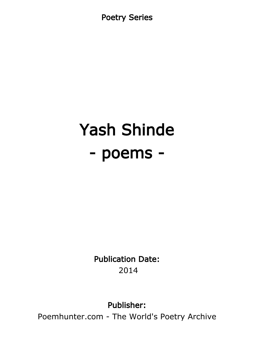Poetry Series

# Yash Shinde - poems -

Publication Date: 2014

Publisher:

Poemhunter.com - The World's Poetry Archive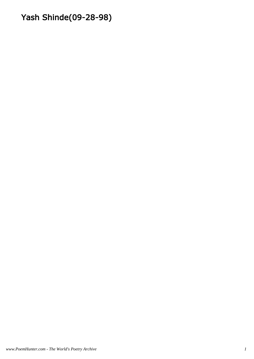# Yash Shinde(09-28-98)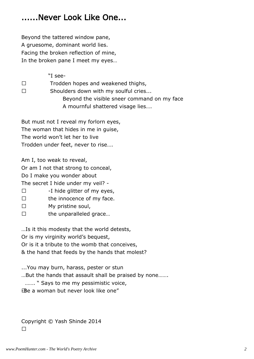#### ......Never Look Like One...

Beyond the tattered window pane, A gruesome, dominant world lies. Facing the broken reflection of mine, In the broken pane I meet my eyes…

> "I see- Trodden hopes and weakened thighs, Shoulders down with my soulful cries... Beyond the visible sneer command on my face A mournful shattered visage lies….

But must not I reveal my forlorn eyes, The woman that hides in me in guise, The world won't let her to live Trodden under feet, never to rise….

Am I, too weak to reveal, Or am I not that strong to conceal, Do I make you wonder about The secret I hide under my veil? - -I hide glitter of my eyes, the innocence of my face. My pristine soul, the unparalleled grace…

…Is it this modesty that the world detests, Or is my virginity world's bequest, Or is it a tribute to the womb that conceives, & the hand that feeds by the hands that molest?

...You may burn, harass, pester or stun …But the hands that assault shall be praised by none……. ……. " Says to me my pessimistic voice, -Be a woman but never look like one"

Copyright © Yash Shinde 2014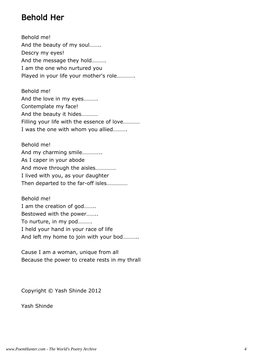#### Behold Her

Behold me! And the beauty of my soul…….. Descry my eyes! And the message they hold………. I am the one who nurtured you Played in your life your mother's role………….

Behold me! And the love in my eyes………. Contemplate my face! And the beauty it hides………… Filling your life with the essence of love………… I was the one with whom you allied……….

Behold me! And my charming smile………….. As I caper in your abode And move through the aisles…………… I lived with you, as your daughter Then departed to the far-off isles……………

Behold me! I am the creation of god…….. Bestowed with the power…….. To nurture, in my pod………. I held your hand in your race of life And left my home to join with your bod………..

Cause I am a woman, unique from all Because the power to create rests in my thrall

Copyright © Yash Shinde 2012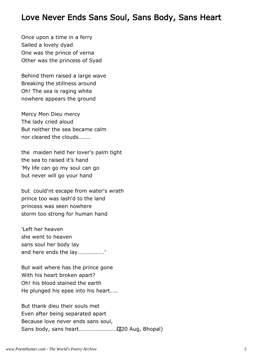#### Love Never Ends Sans Soul, Sans Body, Sans Heart

Once upon a time in a ferry Sailed a lovely dyad One was the prince of verna Other was the princess of Syad

Behind them raised a large wave Breaking the stillness around Oh! The sea is raging white nowhere appears the ground

Mercy Mon Dieu mercy The lady cried aloud But neither the sea became calm nor cleared the clouds………

the maiden held her lover's palm tight the sea to raised it's hand 'My life can go my soul can go but never will go your hand

but could'nt escape from water's wrath prince too was lash'd to the land princess was seen nowhere storm too strong for human hand

'Left her heaven she went to heaven sans soul her body lay and here ends the lay……………….'

But wait where has the prince gone With his heart broken apart? Oh! his blood stained the earth He plunged his epee into his heart…..

But thank dieu their souls met Even after being separated apart Because love never ends sans soul, Sans body, sans heart……………………… -(20 Aug, Bhopal)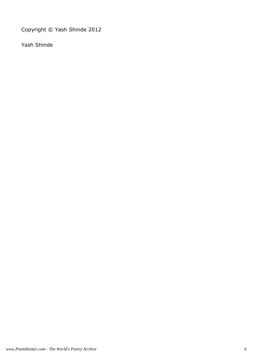Copyright © Yash Shinde 2012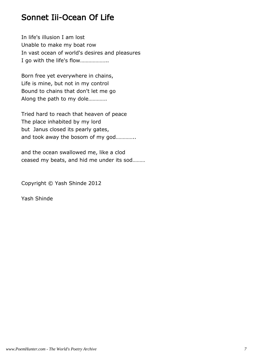#### Sonnet Iii-Ocean Of Life

In life's illusion I am lost Unable to make my boat row In vast ocean of world's desires and pleasures I go with the life's flow...................

Born free yet everywhere in chains, Life is mine, but not in my control Bound to chains that don't let me go Along the path to my dole………….

Tried hard to reach that heaven of peace The place inhabited by my lord but Janus closed its pearly gates, and took away the bosom of my god…………..

and the ocean swallowed me, like a clod ceased my beats, and hid me under its sod………

Copyright © Yash Shinde 2012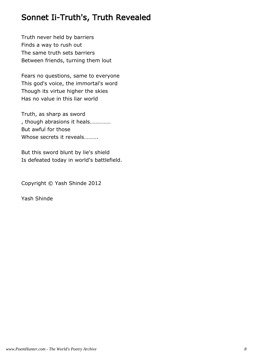# Sonnet Ii-Truth's, Truth Revealed

Truth never held by barriers Finds a way to rush out The same truth sets barriers Between friends, turning them lout

Fears no questions, same to everyone This god's voice, the immortal's word Though its virtue higher the skies Has no value in this liar world

Truth, as sharp as sword , though abrasions it heals…………… But awful for those Whose secrets it reveals……….

But this sword blunt by lie's shield Is defeated today in world's battlefield.

Copyright © Yash Shinde 2012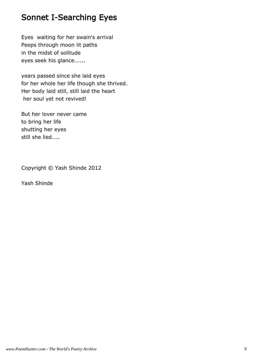# Sonnet I-Searching Eyes

Eyes waiting for her swain's arrival Peeps through moon lit paths in the midst of solitude eyes seek his glance......

years passed since she laid eyes for her whole her life though she thrived. Her body laid still, still laid the heart her soul yet not revived!

But her lover never came to bring her life shutting her eyes still she lied…..

Copyright © Yash Shinde 2012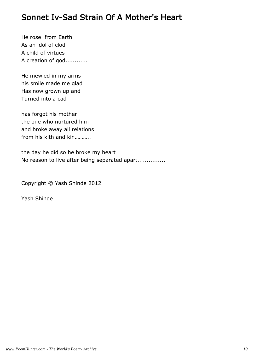#### Sonnet Iv-Sad Strain Of A Mother's Heart

He rose from Earth As an idol of clod A child of virtues A creation of god............

He mewled in my arms his smile made me glad Has now grown up and Turned into a cad

has forgot his mother the one who nurtured him and broke away all relations from his kith and kin………..

the day he did so he broke my heart No reason to live after being separated apart...............

Copyright © Yash Shinde 2012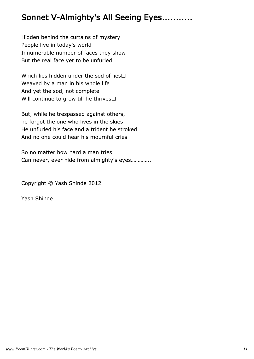# Sonnet V-Almighty's All Seeing Eyes...........

Hidden behind the curtains of mystery People live in today's world Innumerable number of faces they show But the real face yet to be unfurled

Which lies hidden under the sod of lies Weaved by a man in his whole life And yet the sod, not complete Will continue to grow till he thrives 

But, while he trespassed against others, he forgot the one who lives in the skies He unfurled his face and a trident he stroked And no one could hear his mournful cries

So no matter how hard a man tries Can never, ever hide from almighty's eyes…………..

Copyright © Yash Shinde 2012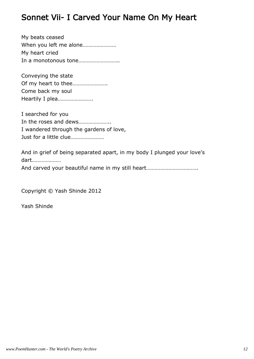# Sonnet Vii- I Carved Your Name On My Heart

My beats ceased When you left me alone…………………… My heart cried In a monotonous tone………………………..

Conveying the state Of my heart to thee……………………. Come back my soul Heartily I plea…………………….

I searched for you In the roses and dews………………….. I wandered through the gardens of love, Just for a little clue……………………

And in grief of being separated apart, in my body I plunged your love's dart………………… And carved your beautiful name in my still heart……………………………….

Copyright © Yash Shinde 2012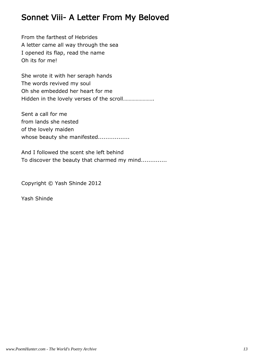# Sonnet Viii- A Letter From My Beloved

From the farthest of Hebrides A letter came all way through the sea I opened its flap, read the name Oh its for me!

She wrote it with her seraph hands The words revived my soul Oh she embedded her heart for me Hidden in the lovely verses of the scroll………………….

Sent a call for me from lands she nested of the lovely maiden whose beauty she manifested.................

And I followed the scent she left behind To discover the beauty that charmed my mind..............

Copyright © Yash Shinde 2012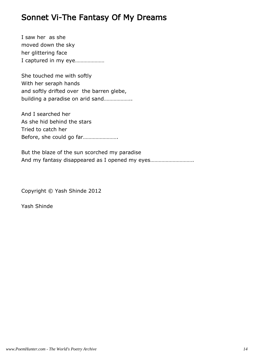# Sonnet Vi-The Fantasy Of My Dreams

I saw her as she moved down the sky her glittering face I captured in my eye…………………

She touched me with softly With her seraph hands and softly drifted over the barren glebe, building a paradise on arid sand………………..

And I searched her As she hid behind the stars Tried to catch her Before, she could go far…………………….

But the blaze of the sun scorched my paradise And my fantasy disappeared as I opened my eyes………………………….

Copyright © Yash Shinde 2012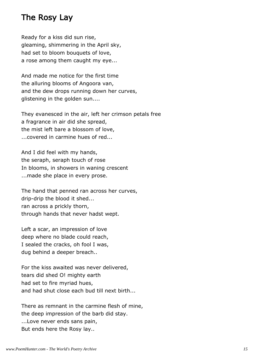#### The Rosy Lay

Ready for a kiss did sun rise, gleaming, shimmering in the April sky, had set to bloom bouquets of love, a rose among them caught my eye...

And made me notice for the first time the alluring blooms of Angoora van, and the dew drops running down her curves, glistening in the golden sun....

They evanesced in the air, left her crimson petals free a fragrance in air did she spread, the mist left bare a blossom of love, ...covered in carmine hues of red...

And I did feel with my hands, the seraph, seraph touch of rose In blooms, in showers in waning crescent ...made she place in every prose.

The hand that penned ran across her curves, drip-drip the blood it shed... ran across a prickly thorn, through hands that never hadst wept.

Left a scar, an impression of love deep where no blade could reach, I sealed the cracks, oh fool I was, dug behind a deeper breach..

For the kiss awaited was never delivered, tears did shed O! mighty earth had set to fire myriad hues, and had shut close each bud till next birth...

There as remnant in the carmine flesh of mine, the deep impression of the barb did stay. ...Love never ends sans pain, But ends here the Rosy lay..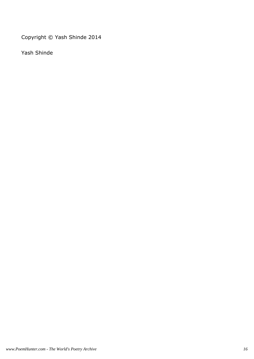Copyright © Yash Shinde 2014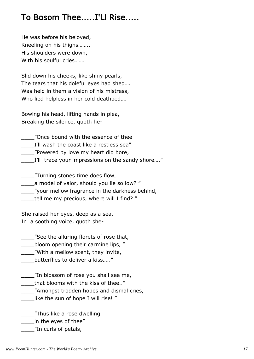# To Bosom Thee.....I'Ll Rise.....

He was before his beloved, Kneeling on his thighs…….. His shoulders were down, With his soulful cries…….

Slid down his cheeks, like shiny pearls, The tears that his doleful eyes had shed…. Was held in them a vision of his mistress, Who lied helpless in her cold deathbed….

Bowing his head, lifting hands in plea, Breaking the silence, quoth he-

- \_\_\_\_"Once bound with the essence of thee
- \_\_\_\_I'll wash the coast like a restless sea"
- \_\_\_\_"Powered by love my heart did bore,
- I'll trace your impressions on the sandy shore...."
- \_\_\_\_"Turning stones time does flow,
- \_\_\_\_a model of valor, should you lie so low? "
- \_\_\_\_"your mellow fragrance in the darkness behind,
- tell me my precious, where will I find? "

She raised her eyes, deep as a sea, In a soothing voice, quoth she-

- \_\_\_\_"See the alluring florets of rose that,
- bloom opening their carmine lips, "
- \_\_\_\_"With a mellow scent, they invite,
- butterflies to deliver a kiss....."
- \_\_\_\_"In blossom of rose you shall see me,
- that blooms with the kiss of thee.."
- "Amongst trodden hopes and dismal cries,
- like the sun of hope I will rise! "

\_\_\_\_"Thus like a rose dwelling

- in the eyes of thee"
- \_\_\_\_ "In curls of petals,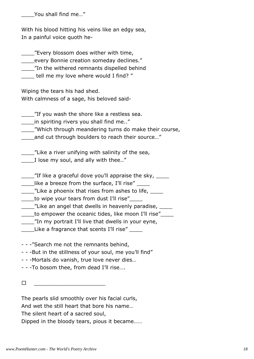You shall find me..."

With his blood hitting his veins like an edgy sea, In a painful voice quoth he-

- \_\_\_\_"Every blossom does wither with time,
- \_\_\_\_every Bonnie creation someday declines."
- \_\_\_\_"In the withered remnants dispelled behind
- \_\_\_\_ tell me my love where would I find? "

Wiping the tears his had shed. With calmness of a sage, his beloved said-

\_\_\_\_"If you wash the shore like a restless sea.

in spiriting rivers you shall find me.."

\_\_\_\_"Which through meandering turns do make their course,

and cut through boulders to reach their source..."

- \_\_\_\_"Like a river unifying with salinity of the sea, I lose my soul, and ally with thee.."
- \_\_\_\_"If like a graceful dove you'll appraise the sky, \_\_\_\_
- like a breeze from the surface, I'll rise"
- Like a phoenix that rises from ashes to life, \_\_\_\_
- to wipe your tears from dust I'll rise"
- "Like an angel that dwells in heavenly paradise,
- to empower the oceanic tides, like moon I'll rise"
- \_\_\_\_"In my portrait I'll live that dwells in your eyne,
- Like a fragrance that scents I'll rise"
- - -"Search me not the remnants behind,
- - -But in the stillness of your soul, me you'll find"
- - -Mortals do vanish, true love never dies…
- - -To bosom thee, from dead I'll rise….

 $\overline{\phantom{a}}$  , which is a set of the set of the set of the set of the set of the set of the set of the set of the set of the set of the set of the set of the set of the set of the set of the set of the set of the set of th

The pearls slid smoothly over his facial curls, And wet the still heart that bore his name… The silent heart of a sacred soul, Dipped in the bloody tears, pious it became……